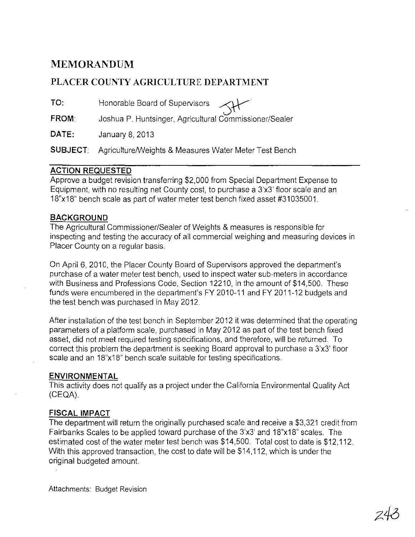# **MEMORANDUM**

## **PLACER COUNTY AGRICULTURE DEPARTMENT**

**TO:**  Honorable Board of Supervisors

**FROM**  Joshua P. Huntsinger, Agricultural Commissioner/Sealer

**DATE:**  January 8, 2013

**SUBJECT:** Agriculture/Weights & Measures Water Meter Test Bench

### **ACTION REQUESTED**

Approve a budget revision transferring \$2,000 from Special Department Expense to Equipment, with no resulting net County cost, to purchase a 3'x3' floor scale and an 18"x18" bench scale as part of water meter test bench fixed asset #31035001.

#### **BACKGROUND**

The Agricultural Commissioner/Sealer of Weights & measures is responsible for inspecting and testing the accuracy of all commercial weighing and measuring devices in Placer County on a regular basis.

On April 6, 2010, the Placer County Board of Supervisors approved the department's purchase of a water meter test bench, used to inspect water sub-meters in accordance with Business and Professions Code, Section 12210, in the amount of \$14,500. These funds were encumbered in the department's FY 2010-11 and FY 2011-12 budgets and the test bench was purchased in May 2012.

After installation of the test bench in September 2012 it was determined that the operating parameters of a platform scale, purchased in May 2012 as part of the test bench fixed asset, did not meet required testing specifications, and therefore, will be returned. To correct this problem the department is seeking Board approval to purchase a 3'x3' floor scale and an 18"x18" bench scale suitable for testing specifications.

#### **ENVIRONMENTAL**

This activity does not qualify as a project under the California Environmental Quality Act (CEQA).

#### **FISCAL IMPACT**

The department will return the originally purchased scale and receive a \$3,321 credit from Fairbanks Scales to be applied toward purchase of the 3'x3' and 18"x18" scales. The estimated cost of the water meter test bench was \$14,500. Total cost to date is \$12,112. With this approved transaction, the cost to date will be \$14,112, which is under the original budgeted amount.

Attachments: Budget Revision